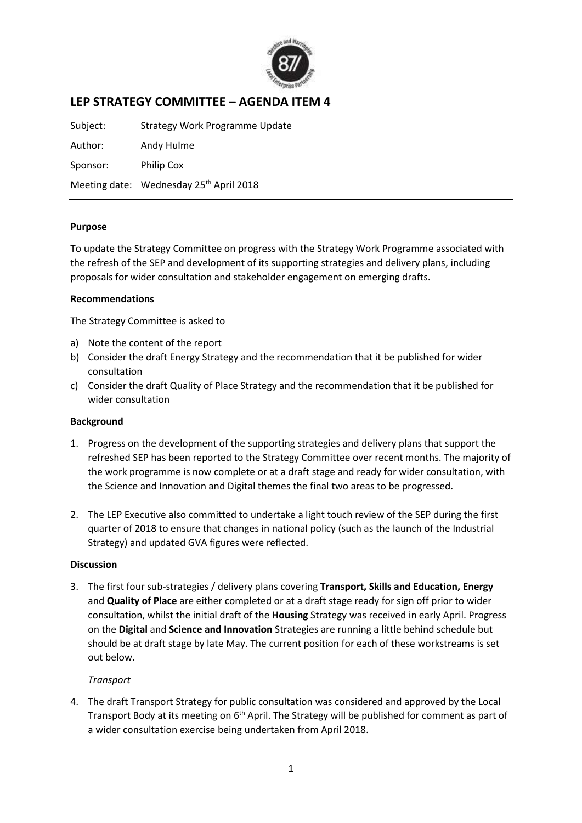

# **LEP STRATEGY COMMITTEE – AGENDA ITEM 4**

Subject: Strategy Work Programme Update Author: Andy Hulme Sponsor: Philip Cox Meeting date: Wednesday 25<sup>th</sup> April 2018

#### **Purpose**

To update the Strategy Committee on progress with the Strategy Work Programme associated with the refresh of the SEP and development of its supporting strategies and delivery plans, including proposals for wider consultation and stakeholder engagement on emerging drafts.

### **Recommendations**

The Strategy Committee is asked to

- a) Note the content of the report
- b) Consider the draft Energy Strategy and the recommendation that it be published for wider consultation
- c) Consider the draft Quality of Place Strategy and the recommendation that it be published for wider consultation

#### **Background**

- 1. Progress on the development of the supporting strategies and delivery plans that support the refreshed SEP has been reported to the Strategy Committee over recent months. The majority of the work programme is now complete or at a draft stage and ready for wider consultation, with the Science and Innovation and Digital themes the final two areas to be progressed.
- 2. The LEP Executive also committed to undertake a light touch review of the SEP during the first quarter of 2018 to ensure that changes in national policy (such as the launch of the Industrial Strategy) and updated GVA figures were reflected.

## **Discussion**

3. The first four sub-strategies / delivery plans covering **Transport, Skills and Education, Energy**  and **Quality of Place** are either completed or at a draft stage ready for sign off prior to wider consultation, whilst the initial draft of the **Housing** Strategy was received in early April. Progress on the **Digital** and **Science and Innovation** Strategies are running a little behind schedule but should be at draft stage by late May. The current position for each of these workstreams is set out below.

#### *Transport*

4. The draft Transport Strategy for public consultation was considered and approved by the Local Transport Body at its meeting on 6<sup>th</sup> April. The Strategy will be published for comment as part of a wider consultation exercise being undertaken from April 2018.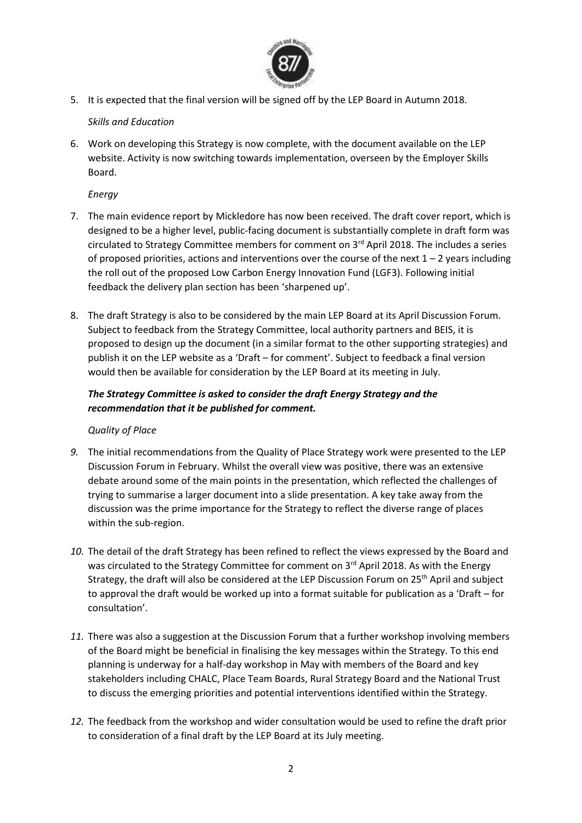

5. It is expected that the final version will be signed off by the LEP Board in Autumn 2018.

## *Skills and Education*

6. Work on developing this Strategy is now complete, with the document available on the LEP website. Activity is now switching towards implementation, overseen by the Employer Skills Board.

## *Energy*

- 7. The main evidence report by Mickledore has now been received. The draft cover report, which is designed to be a higher level, public-facing document is substantially complete in draft form was circulated to Strategy Committee members for comment on  $3<sup>rd</sup>$  April 2018. The includes a series of proposed priorities, actions and interventions over the course of the next  $1 - 2$  years including the roll out of the proposed Low Carbon Energy Innovation Fund (LGF3). Following initial feedback the delivery plan section has been 'sharpened up'.
- 8. The draft Strategy is also to be considered by the main LEP Board at its April Discussion Forum. Subject to feedback from the Strategy Committee, local authority partners and BEIS, it is proposed to design up the document (in a similar format to the other supporting strategies) and publish it on the LEP website as a 'Draft – for comment'. Subject to feedback a final version would then be available for consideration by the LEP Board at its meeting in July.

# *The Strategy Committee is asked to consider the draft Energy Strategy and the recommendation that it be published for comment.*

## *Quality of Place*

- *9.* The initial recommendations from the Quality of Place Strategy work were presented to the LEP Discussion Forum in February. Whilst the overall view was positive, there was an extensive debate around some of the main points in the presentation, which reflected the challenges of trying to summarise a larger document into a slide presentation. A key take away from the discussion was the prime importance for the Strategy to reflect the diverse range of places within the sub-region.
- *10.* The detail of the draft Strategy has been refined to reflect the views expressed by the Board and was circulated to the Strategy Committee for comment on 3<sup>rd</sup> April 2018. As with the Energy Strategy, the draft will also be considered at the LEP Discussion Forum on 25<sup>th</sup> April and subject to approval the draft would be worked up into a format suitable for publication as a 'Draft – for consultation'.
- *11.* There was also a suggestion at the Discussion Forum that a further workshop involving members of the Board might be beneficial in finalising the key messages within the Strategy. To this end planning is underway for a half-day workshop in May with members of the Board and key stakeholders including CHALC, Place Team Boards, Rural Strategy Board and the National Trust to discuss the emerging priorities and potential interventions identified within the Strategy.
- *12.* The feedback from the workshop and wider consultation would be used to refine the draft prior to consideration of a final draft by the LEP Board at its July meeting.